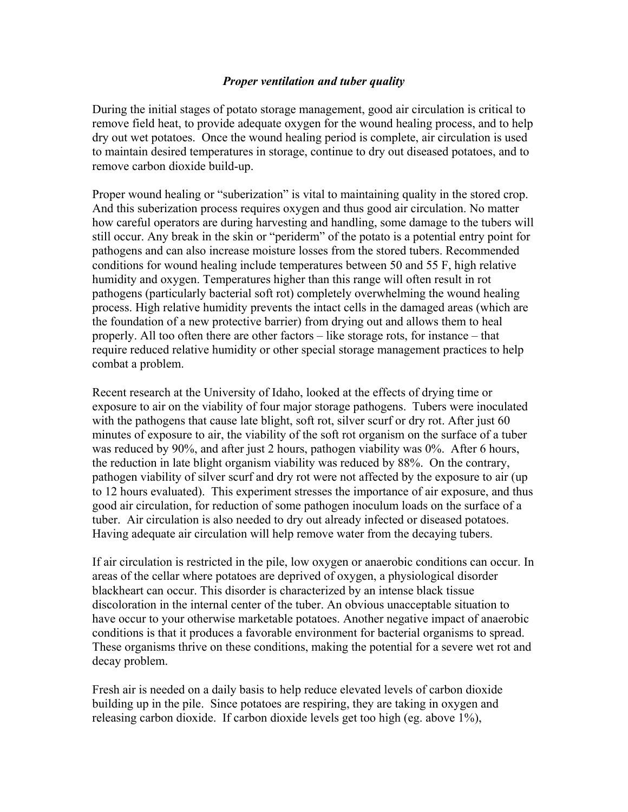## *Proper ventilation and tuber quality*

During the initial stages of potato storage management, good air circulation is critical to remove field heat, to provide adequate oxygen for the wound healing process, and to help dry out wet potatoes. Once the wound healing period is complete, air circulation is used to maintain desired temperatures in storage, continue to dry out diseased potatoes, and to remove carbon dioxide build-up.

Proper wound healing or "suberization" is vital to maintaining quality in the stored crop. And this suberization process requires oxygen and thus good air circulation. No matter how careful operators are during harvesting and handling, some damage to the tubers will still occur. Any break in the skin or "periderm" of the potato is a potential entry point for pathogens and can also increase moisture losses from the stored tubers. Recommended conditions for wound healing include temperatures between 50 and 55 F, high relative humidity and oxygen. Temperatures higher than this range will often result in rot pathogens (particularly bacterial soft rot) completely overwhelming the wound healing process. High relative humidity prevents the intact cells in the damaged areas (which are the foundation of a new protective barrier) from drying out and allows them to heal properly. All too often there are other factors – like storage rots, for instance – that require reduced relative humidity or other special storage management practices to help combat a problem.

Recent research at the University of Idaho, looked at the effects of drying time or exposure to air on the viability of four major storage pathogens. Tubers were inoculated with the pathogens that cause late blight, soft rot, silver scurf or dry rot. After just 60 minutes of exposure to air, the viability of the soft rot organism on the surface of a tuber was reduced by 90%, and after just 2 hours, pathogen viability was 0%. After 6 hours, the reduction in late blight organism viability was reduced by 88%. On the contrary, pathogen viability of silver scurf and dry rot were not affected by the exposure to air (up to 12 hours evaluated). This experiment stresses the importance of air exposure, and thus good air circulation, for reduction of some pathogen inoculum loads on the surface of a tuber. Air circulation is also needed to dry out already infected or diseased potatoes. Having adequate air circulation will help remove water from the decaying tubers.

If air circulation is restricted in the pile, low oxygen or anaerobic conditions can occur. In areas of the cellar where potatoes are deprived of oxygen, a physiological disorder blackheart can occur. This disorder is characterized by an intense black tissue discoloration in the internal center of the tuber. An obvious unacceptable situation to have occur to your otherwise marketable potatoes. Another negative impact of anaerobic conditions is that it produces a favorable environment for bacterial organisms to spread. These organisms thrive on these conditions, making the potential for a severe wet rot and decay problem.

Fresh air is needed on a daily basis to help reduce elevated levels of carbon dioxide building up in the pile. Since potatoes are respiring, they are taking in oxygen and releasing carbon dioxide. If carbon dioxide levels get too high (eg. above 1%),